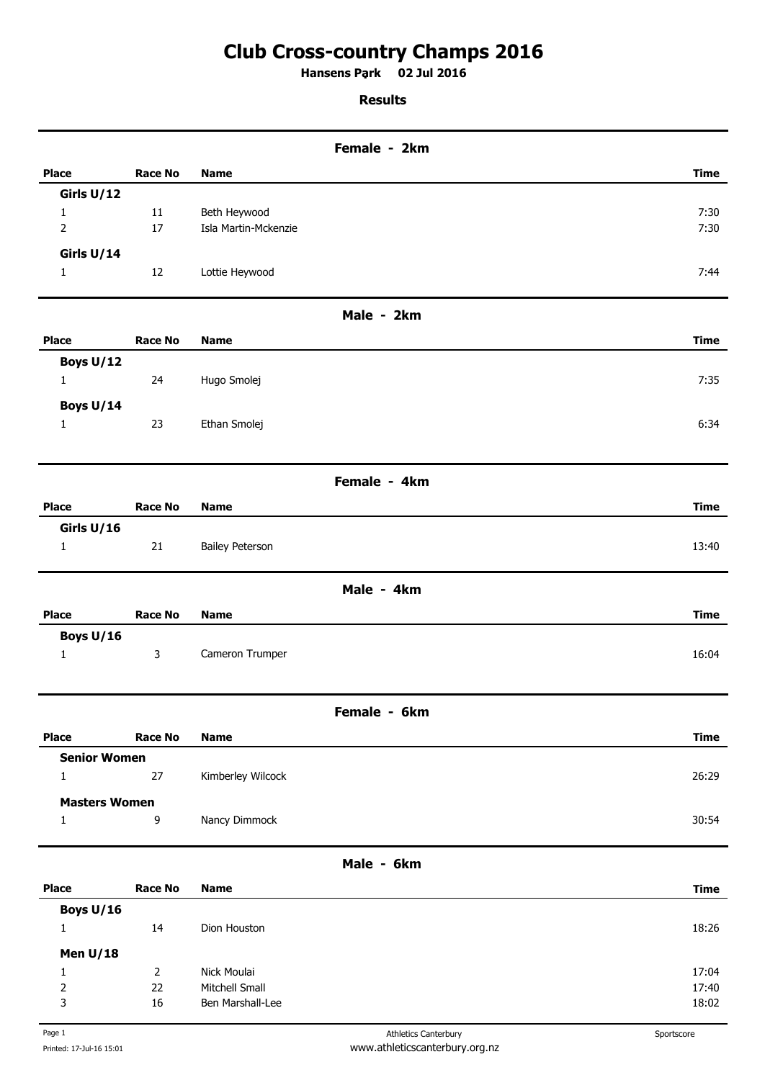## **Club Cross-country Champs 2016**

**Hansens Park 02 Jul 2016 .** 

## **Results**

|                      |                  |                                    | Female - 2km |             |
|----------------------|------------------|------------------------------------|--------------|-------------|
| <b>Place</b>         | <b>Race No</b>   | <b>Name</b>                        |              | <b>Time</b> |
| Girls U/12           |                  |                                    |              |             |
| $\mathbf{1}$         | $11\,$           | Beth Heywood                       |              | 7:30        |
| $\overline{2}$       | 17               | Isla Martin-Mckenzie               |              | 7:30        |
| Girls U/14           |                  |                                    |              |             |
| $\mathbf{1}$         | 12               | Lottie Heywood                     |              | 7:44        |
|                      |                  |                                    | Male - 2km   |             |
| <b>Place</b>         | <b>Race No</b>   | <b>Name</b>                        |              | <b>Time</b> |
| Boys U/12            |                  |                                    |              |             |
| $\mathbf{1}$         | 24               | Hugo Smolej                        |              | 7:35        |
| Boys U/14            |                  |                                    |              |             |
| $\mathbf{1}$         | 23               | Ethan Smolej                       |              | 6:34        |
|                      |                  |                                    |              |             |
|                      |                  |                                    | Female - 4km |             |
| <b>Place</b>         | <b>Race No</b>   | <b>Name</b>                        |              | <b>Time</b> |
| Girls U/16           |                  |                                    |              |             |
| $\mathbf{1}$         | 21               | <b>Bailey Peterson</b>             |              | 13:40       |
|                      |                  |                                    | Male - 4km   |             |
| <b>Place</b>         | <b>Race No</b>   | <b>Name</b>                        |              | <b>Time</b> |
| Boys U/16            |                  |                                    |              |             |
| $\mathbf{1}$         | $\mathsf{3}$     | Cameron Trumper                    |              | 16:04       |
|                      |                  |                                    |              |             |
|                      |                  |                                    | Female - 6km |             |
| <b>Place</b>         | <b>Race No</b>   | <b>Name</b>                        |              | <b>Time</b> |
| <b>Senior Women</b>  |                  |                                    |              |             |
| $\mathbf{1}$         | 27               | Kimberley Wilcock                  |              | 26:29       |
| <b>Masters Women</b> |                  |                                    |              |             |
| 1                    | $\boldsymbol{9}$ | Nancy Dimmock                      |              | 30:54       |
|                      |                  |                                    | Male - 6km   |             |
| <b>Place</b>         | <b>Race No</b>   | <b>Name</b>                        |              | <b>Time</b> |
| Boys U/16            |                  |                                    |              |             |
| $\mathbf{1}$         | 14               | Dion Houston                       |              | 18:26       |
| Men $U/18$           |                  |                                    |              |             |
| $\mathbf{1}$         | $\overline{2}$   | Nick Moulai                        |              | 17:04       |
| $\overline{2}$       | 22<br>16         | Mitchell Small<br>Ben Marshall-Lee |              | 17:40       |
| 3                    |                  |                                    |              | 18:02       |